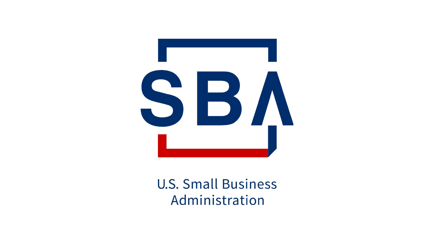

#### **U.S. Small Business** Administration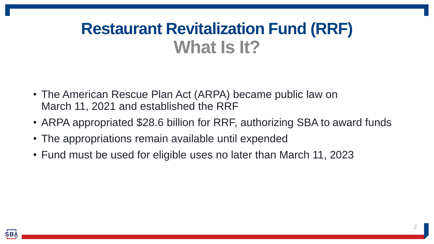#### **Restaurant Revitalization Fund (RRF) What Is It?**

- The American Rescue Plan Act (ARPA) became public law on March 11, 2021 and established the RRF
- ARPA appropriated \$28.6 billion for RRF, authorizing SBA to award funds
- The appropriations remain available until expended
- Fund must be used for eligible uses no later than March 11, 2023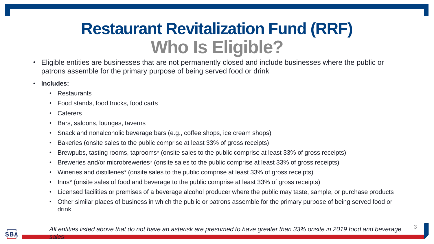#### **Restaurant Revitalization Fund (RRF) Who Is Eligible?**

- Eligible entities are businesses that are not permanently closed and include businesses where the public or patrons assemble for the primary purpose of being served food or drink
- **Includes:**
	- Restaurants
	- Food stands, food trucks, food carts
	- Caterers

*sales*

- Bars, saloons, lounges, taverns
- Snack and nonalcoholic beverage bars (e.g., coffee shops, ice cream shops)
- Bakeries (onsite sales to the public comprise at least 33% of gross receipts)
- Brewpubs, tasting rooms, taprooms\* (onsite sales to the public comprise at least 33% of gross receipts)
- Breweries and/or microbreweries\* (onsite sales to the public comprise at least 33% of gross receipts)
- Wineries and distilleries\* (onsite sales to the public comprise at least 33% of gross receipts)
- Inns<sup>\*</sup> (onsite sales of food and beverage to the public comprise at least 33% of gross receipts)
- Licensed facilities or premises of a beverage alcohol producer where the public may taste, sample, or purchase products
- Other similar places of business in which the public or patrons assemble for the primary purpose of being served food or drink

3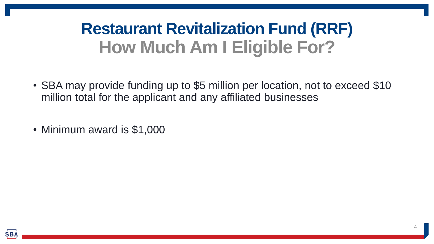## **Restaurant Revitalization Fund (RRF) How Much Am I Eligible For?**

- SBA may provide funding up to \$5 million per location, not to exceed \$10 million total for the applicant and any affiliated businesses
- Minimum award is \$1,000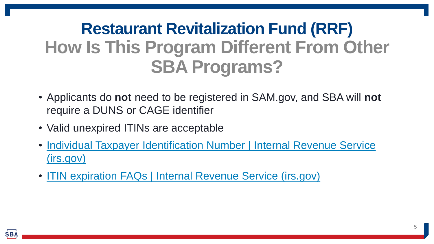# **Restaurant Revitalization Fund (RRF) How Is This Program Different From Other SBA Programs?**

- Applicants do **not** need to be registered in SAM.gov, and SBA will **not**  require a DUNS or CAGE identifier
- Valid unexpired ITINs are acceptable
- [Individual Taxpayer Identification Number | Internal Revenue Service](https://www.irs.gov/individuals/individual-taxpayer-identification-number) (irs.gov)
- ITIN expiration FAQs | Internal [Revenue Service \(irs.gov\)](https://www.irs.gov/individuals/itin-expiration-faqs)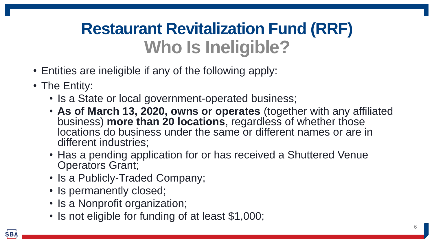### **Restaurant Revitalization Fund (RRF) Who Is Ineligible?**

- Entities are ineligible if any of the following apply:
- The Entity:
	- Is a State or local government-operated business;
	- **As of March 13, 2020, owns or operates** (together with any affiliated business) **more than 20 locations**, regardless of whether those locations do business under the same or different names or are in different industries;
	- Has a pending application for or has received a Shuttered Venue Operators Grant;
	- Is a Publicly-Traded Company;
	- Is permanently closed;
	- Is a Nonprofit organization;
	- Is not eligible for funding of at least \$1,000;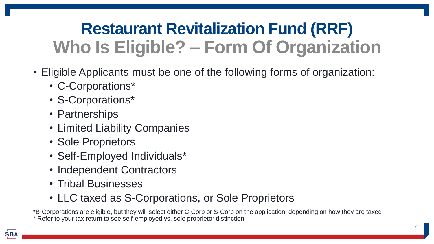## **Restaurant Revitalization Fund (RRF) Who Is Eligible? – Form Of Organization**

- Eligible Applicants must be one of the following forms of organization:
	- C-Corporations\*
	- S-Corporations\*
	- Partnerships
	- Limited Liability Companies
	- Sole Proprietors
	- Self-Employed Individuals\*
	- Independent Contractors
	- Tribal Businesses
	- LLC taxed as S-Corporations, or Sole Proprietors

\*B-Corporations are eligible, but they will select either C-Corp or S-Corp on the application, depending on how they are taxed \* Refer to your tax return to see self-employed vs. sole proprietor distinction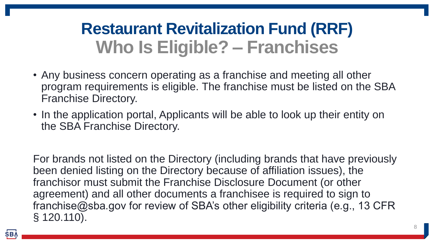### **Restaurant Revitalization Fund (RRF) Who Is Eligible? – Franchises**

- Any business concern operating as a franchise and meeting all other program requirements is eligible. The franchise must be listed on the SBA Franchise Directory.
- In the application portal, Applicants will be able to look up their entity on the SBA Franchise Directory.

For brands not listed on the Directory (including brands that have previously been denied listing on the Directory because of affiliation issues), the franchisor must submit the Franchise Disclosure Document (or other agreement) and all other documents a franchisee is required to sign to franchise@sba.gov for review of SBA's other eligibility criteria (e.g., 13 CFR § 120.110).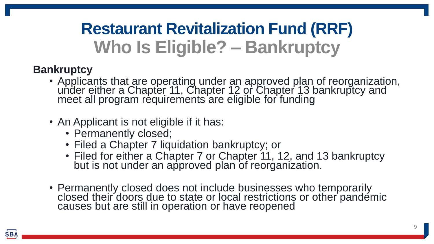# **Restaurant Revitalization Fund (RRF) Who Is Eligible? – Bankruptcy**

#### **Bankruptcy**

- Applicants that are operating under an approved plan of reorganization, under either a Chapter 11, Chapter 12 or Chapter 13 bankruptcy and meet all program requirements are eligible for funding
- An Applicant is not eligible if it has:
	- Permanently closed;
	- Filed a Chapter 7 liquidation bankruptcy; or
	- Filed for either a Chapter 7 or Chapter 11, 12, and 13 bankruptcy but is not under an approved plan of reorganization.
- Permanently closed does not include businesses who temporarily closed their doors due to state or local restrictions or other pandemic causes but are still in operation or have reopened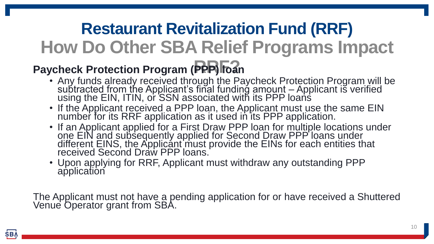#### **Restaurant Revitalization Fund (RRF) How Do Other SBA Relief Programs Impact**

#### **Paycheck Protection Program (PPP) Toan**

- Any funds already received through the Paycheck Protection Program will be subtracted from the Applicant's final funding amount - Applicant is verified using the EIN, ITIN, or SSN associated with its PPP loans
- If the Applicant received a PPP loan, the Applicant must use the same EIN number for its RRF application as it used in its PPP application.
- If an Applicant applied for a First Draw PPP loan for multiple locations under one EIN and subsequently applied for Second Draw PPP loans under different EINS, the Applicant must provide the EINs for each entities that received Second Draw PPP loans.
- Upon applying for RRF, Applicant must withdraw any outstanding PPP application

The Applicant must not have a pending application for or have received a Shuttered Venue Operator grant from SBA.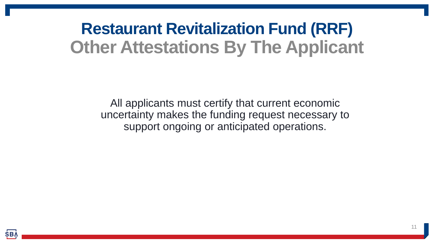#### **Restaurant Revitalization Fund (RRF) Other Attestations By The Applicant**

All applicants must certify that current economic uncertainty makes the funding request necessary to support ongoing or anticipated operations.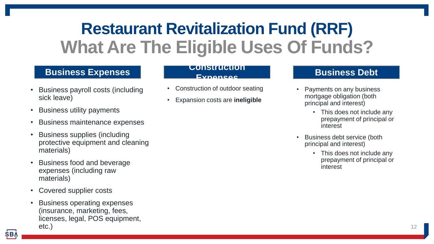### **Restaurant Revitalization Fund (RRF) What Are The Eligible Uses Of Funds?**

#### **Business Expenses**

- Business payroll costs (including sick leave)
- Business utility payments
- Business maintenance expenses
- Business supplies (including protective equipment and cleaning materials)
- Business food and beverage expenses (including raw materials)
- Covered supplier costs
- Business operating expenses (insurance, marketing, fees, licenses, legal, POS equipment, etc.)

#### **Construction Expenses**

- Construction of outdoor seating
- Expansion costs are **ineligible**

#### **Business Debt**

- Payments on any business mortgage obligation (both principal and interest)
	- This does not include any prepayment of principal or interest
- Business debt service (both principal and interest)
	- This does not include any prepayment of principal or interest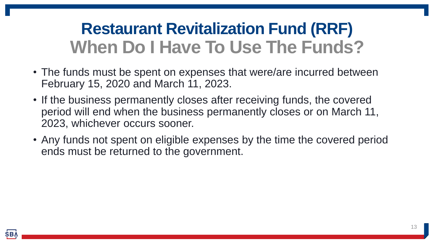#### **Restaurant Revitalization Fund (RRF) When Do I Have To Use The Funds?**

- The funds must be spent on expenses that were/are incurred between February 15, 2020 and March 11, 2023.
- If the business permanently closes after receiving funds, the covered period will end when the business permanently closes or on March 11, 2023, whichever occurs sooner.
- Any funds not spent on eligible expenses by the time the covered period ends must be returned to the government.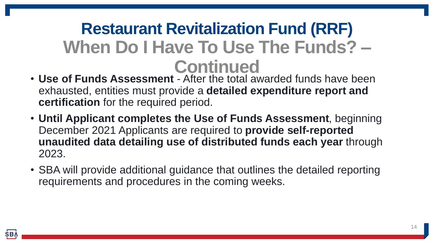#### **Restaurant Revitalization Fund (RRF) When Do I Have To Use The Funds? – Continued**

- **Use of Funds Assessment**  After the total awarded funds have been exhausted, entities must provide a **detailed expenditure report and certification** for the required period.
- **Until Applicant completes the Use of Funds Assessment**, beginning December 2021 Applicants are required to **provide self-reported unaudited data detailing use of distributed funds each year** through 2023.
- SBA will provide additional guidance that outlines the detailed reporting requirements and procedures in the coming weeks.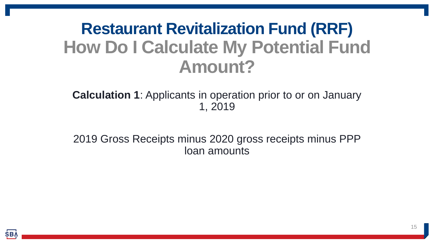#### **Restaurant Revitalization Fund (RRF) How Do I Calculate My Potential Fund Amount?**

**Calculation 1**: Applicants in operation prior to or on January 1, 2019

2019 Gross Receipts minus 2020 gross receipts minus PPP loan amounts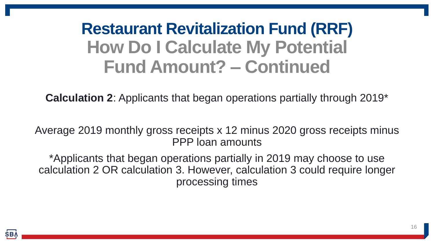### **Restaurant Revitalization Fund (RRF) How Do I Calculate My Potential Fund Amount? – Continued**

**Calculation 2**: Applicants that began operations partially through 2019\*

Average 2019 monthly gross receipts x 12 minus 2020 gross receipts minus PPP loan amounts

\*Applicants that began operations partially in 2019 may choose to use calculation 2 OR calculation 3. However, calculation 3 could require longer processing times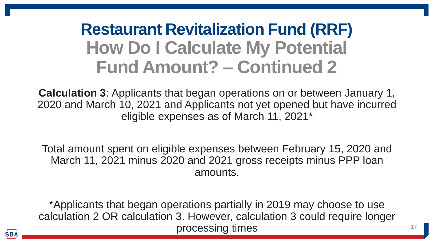## **Restaurant Revitalization Fund (RRF) How Do I Calculate My Potential Fund Amount? – Continued 2**

**Calculation 3**: Applicants that began operations on or between January 1, 2020 and March 10, 2021 and Applicants not yet opened but have incurred eligible expenses as of March 11, 2021\*

Total amount spent on eligible expenses between February 15, 2020 and March 11, 2021 minus 2020 and 2021 gross receipts minus PPP loan amounts.

\*Applicants that began operations partially in 2019 may choose to use calculation 2 OR calculation 3. However, calculation 3 could require longer processing times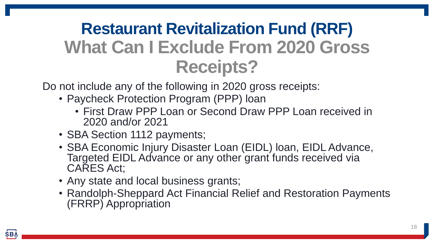## **Restaurant Revitalization Fund (RRF) What Can I Exclude From 2020 Gross Receipts?**

Do not include any of the following in 2020 gross receipts:

- Paycheck Protection Program (PPP) loan
	- First Draw PPP Loan or Second Draw PPP Loan received in 2020 and/or 2021
- SBA Section 1112 payments;
- SBA Economic Injury Disaster Loan (EIDL) loan, EIDL Advance, Targeted EIDL Advance or any other grant funds received via CARES Act;
- Any state and local business grants;
- Randolph-Sheppard Act Financial Relief and Restoration Payments (FRRP) Appropriation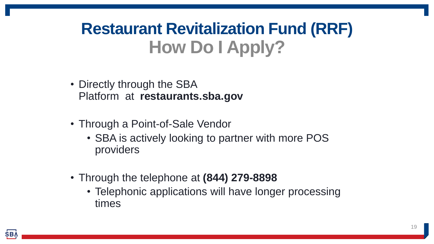### **Restaurant Revitalization Fund (RRF) How Do I Apply?**

- Directly through the SBA Platform at **restaurants.sba.gov**
- Through a Point-of-Sale Vendor
	- SBA is actively looking to partner with more POS providers
- Through the telephone at **(844) 279-8898**
	- Telephonic applications will have longer processing times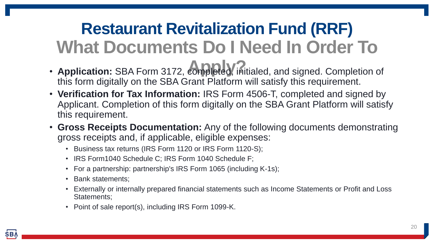# **Restaurant Revitalization Fund (RRF) What Documents Do I Need In Order To**

- **Application:** SBA Form 3172, **completed**, initialed, and signed. Completion of this form digitally on the SBA Grant Platform will satisfy this requirement.
- **Verification for Tax Information:** IRS Form 4506-T, completed and signed by Applicant. Completion of this form digitally on the SBA Grant Platform will satisfy this requirement.
- **Gross Receipts Documentation:** Any of the following documents demonstrating gross receipts and, if applicable, eligible expenses:
	- Business tax returns (IRS Form 1120 or IRS Form 1120-S);
	- IRS Form1040 Schedule C; IRS Form 1040 Schedule F;
	- For a partnership: partnership's IRS Form 1065 (including K-1s);
	- Bank statements;
	- Externally or internally prepared financial statements such as Income Statements or Profit and Loss Statements;
	- Point of sale report(s), including IRS Form 1099-K.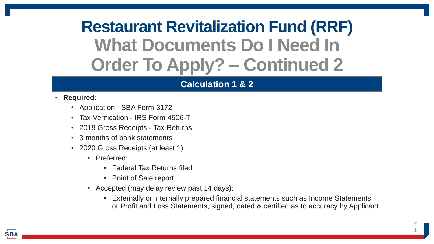## **Restaurant Revitalization Fund (RRF) What Documents Do I Need In Order To Apply? – Continued 2**

#### **Calculation 1 & 2**

#### • **Required:**

- Application SBA Form 3172
- Tax Verification IRS Form 4506-T
- 2019 Gross Receipts Tax Returns
- 3 months of bank statements
- 2020 Gross Receipts (at least 1)
	- Preferred:
		- Federal Tax Returns filed
		- Point of Sale report
	- Accepted (may delay review past 14 days):
		- Externally or internally prepared financial statements such as Income Statements or Profit and Loss Statements, signed, dated & certified as to accuracy by Applicant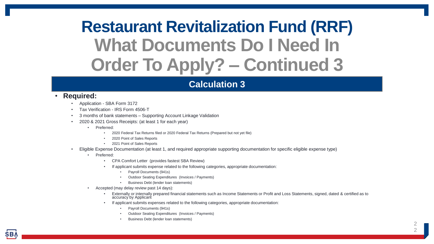## **Restaurant Revitalization Fund (RRF) What Documents Do I Need In Order To Apply? – Continued 3**

#### **Calculation 3**

#### • **Required:**

- Application SBA Form 3172
- Tax Verification IRS Form 4506-T
- 3 months of bank statements Supporting Account Linkage Validation
- 2020 & 2021 Gross Receipts: (at least 1 for each year)
	- Preferred:
		- 2020 Federal Tax Returns filed or 2020 Federal Tax Returns (Prepared but not yet file)
		- 2020 Point of Sales Reports
		- 2021 Point of Sales Reports
- Eligible Expense Documentation (at least 1, and required appropriate supporting documentation for specific eligible expense type)
	- Preferred:
		- CPA Comfort Letter (provides fastest SBA Review)
		- If applicant submits expense related to the following categories, appropriate documentation:
			- Payroll Documents (941s)
			- Outdoor Seating Expenditures (Invoices / Payments)
			- Business Debt (lender loan statements)
		- Accepted (may delay review past 14 days):
			- Externally or internally prepared financial statements such as Income Statements or Profit and Loss Statements, signed, dated & certified as to accuracy by Applicant
			- If applicant submits expenses related to the following categories, appropriate documentation:
				- Payroll Documents (941s)
				- Outdoor Seating Expenditures (Invoices / Payments)
				- Business Debt (lender loan statements)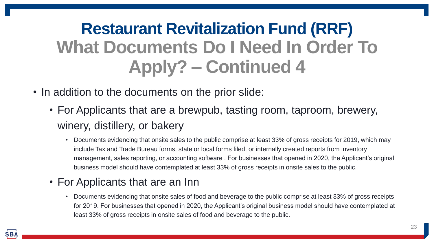# **Restaurant Revitalization Fund (RRF) What Documents Do I Need In Order To Apply? – Continued 4**

- In addition to the documents on the prior slide:
	- For Applicants that are a brewpub, tasting room, taproom, brewery, winery, distillery, or bakery
		- Documents evidencing that onsite sales to the public comprise at least 33% of gross receipts for 2019, which may include Tax and Trade Bureau forms, state or local forms filed, or internally created reports from inventory management, sales reporting, or accounting software . For businesses that opened in 2020, the Applicant's original business model should have contemplated at least 33% of gross receipts in onsite sales to the public.

#### • For Applicants that are an Inn

• Documents evidencing that onsite sales of food and beverage to the public comprise at least 33% of gross receipts for 2019. For businesses that opened in 2020, the Applicant's original business model should have contemplated at least 33% of gross receipts in onsite sales of food and beverage to the public.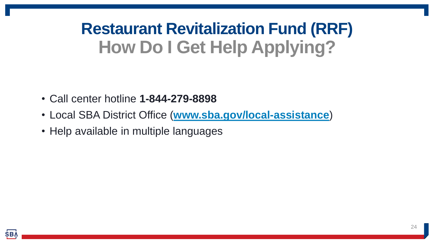## **Restaurant Revitalization Fund (RRF) How Do I Get Help Applying?**

- Call center hotline **1-844-279-8898**
- Local SBA District Office (**[www.sba.gov/local-assistance](http://www.sba.gov/local-assistance)**)
- Help available in multiple languages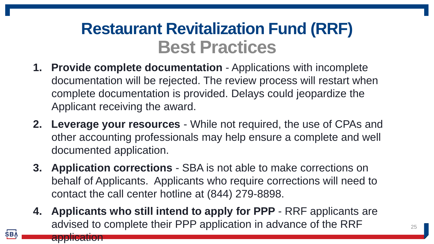#### **Restaurant Revitalization Fund (RRF) Best Practices**

- **1. Provide complete documentation** Applications with incomplete documentation will be rejected. The review process will restart when complete documentation is provided. Delays could jeopardize the Applicant receiving the award.
- **2. Leverage your resources** While not required, the use of CPAs and other accounting professionals may help ensure a complete and well documented application.
- **3. Application corrections** SBA is not able to make corrections on behalf of Applicants. Applicants who require corrections will need to contact the call center hotline at (844) 279-8898.
- **4. Applicants who still intend to apply for PPP**  RRF applicants are advised to complete their PPP application in advance of the RRF

application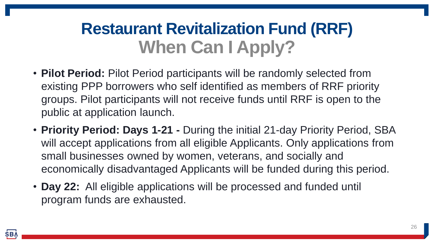#### **Restaurant Revitalization Fund (RRF) When Can I Apply?**

- **Pilot Period:** Pilot Period participants will be randomly selected from existing PPP borrowers who self identified as members of RRF priority groups. Pilot participants will not receive funds until RRF is open to the public at application launch.
- **Priority Period: Days 1-21 -** During the initial 21-day Priority Period, SBA will accept applications from all eligible Applicants. Only applications from small businesses owned by women, veterans, and socially and economically disadvantaged Applicants will be funded during this period.
- **Day 22:** All eligible applications will be processed and funded until program funds are exhausted.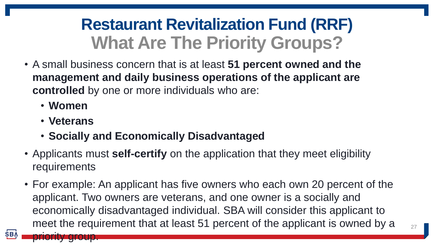### **Restaurant Revitalization Fund (RRF) What Are The Priority Groups?**

- A small business concern that is at least **51 percent owned and the management and daily business operations of the applicant are controlled** by one or more individuals who are:
	- **Women**
	- **Veterans**

priority group.

**SBA** 

- **Socially and Economically Disadvantaged**
- Applicants must **self-certify** on the application that they meet eligibility requirements
- For example: An applicant has five owners who each own 20 percent of the applicant. Two owners are veterans, and one owner is a socially and economically disadvantaged individual. SBA will consider this applicant to meet the requirement that at least 51 percent of the applicant is owned by a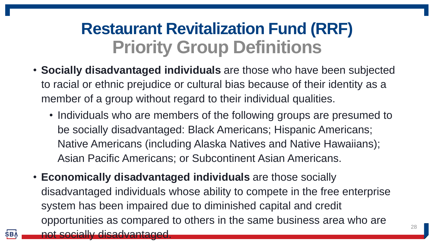#### **Restaurant Revitalization Fund (RRF) Priority Group Definitions**

- **Socially disadvantaged individuals** are those who have been subjected to racial or ethnic prejudice or cultural bias because of their identity as a member of a group without regard to their individual qualities.
	- Individuals who are members of the following groups are presumed to be socially disadvantaged: Black Americans; Hispanic Americans; Native Americans (including Alaska Natives and Native Hawaiians); Asian Pacific Americans; or Subcontinent Asian Americans.
- **Economically disadvantaged individuals** are those socially disadvantaged individuals whose ability to compete in the free enterprise system has been impaired due to diminished capital and credit opportunities as compared to others in the same business area who are not socially disadvantaged.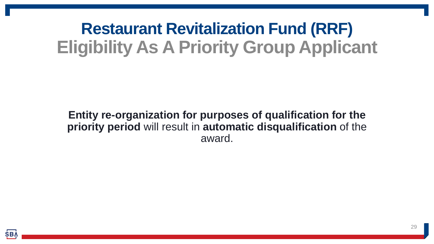### **Restaurant Revitalization Fund (RRF) Eligibility As A Priority Group Applicant**

#### **Entity re-organization for purposes of qualification for the priority period** will result in **automatic disqualification** of the award.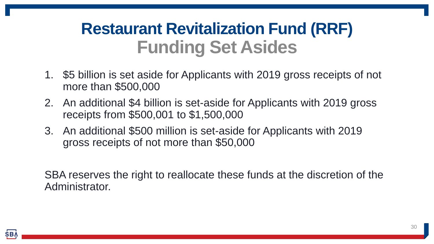#### **Restaurant Revitalization Fund (RRF) Funding Set Asides**

- 1. \$5 billion is set aside for Applicants with 2019 gross receipts of not more than \$500,000
- 2. An additional \$4 billion is set-aside for Applicants with 2019 gross receipts from \$500,001 to \$1,500,000
- 3. An additional \$500 million is set-aside for Applicants with 2019 gross receipts of not more than \$50,000

SBA reserves the right to reallocate these funds at the discretion of the Administrator.